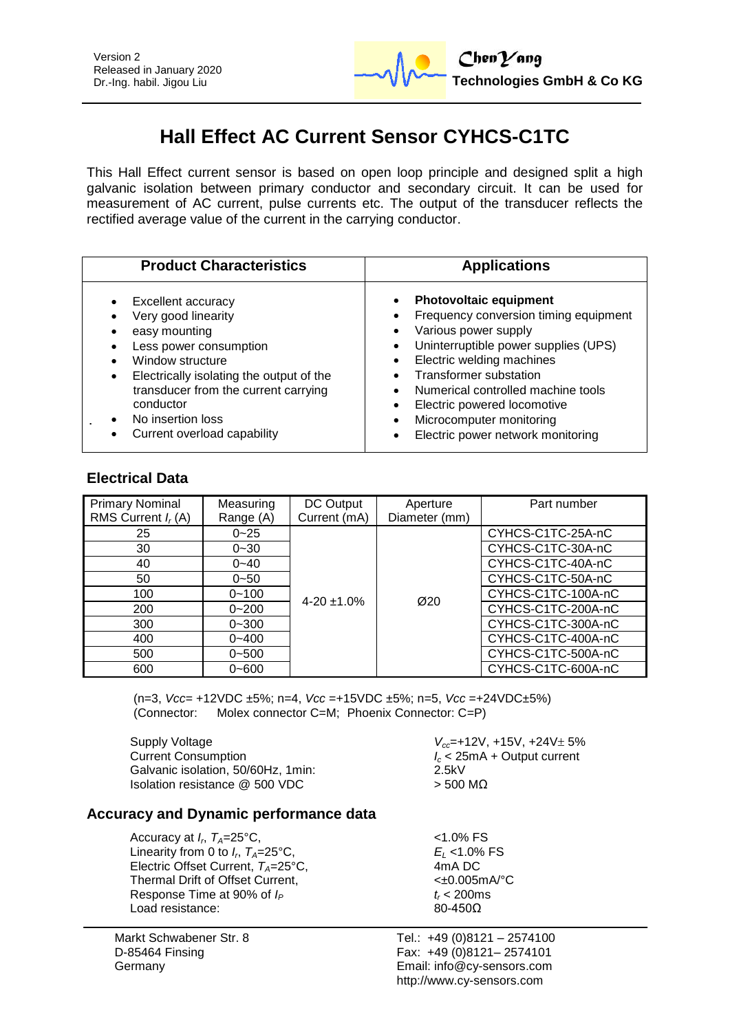

# **Hall Effect AC Current Sensor CYHCS-C1TC**

This Hall Effect current sensor is based on open loop principle and designed split a high galvanic isolation between primary conductor and secondary circuit. It can be used for measurement of AC current, pulse currents etc. The output of the transducer reflects the rectified average value of the current in the carrying conductor.

| <b>Product Characteristics</b>                                                                                                                                                                                                                                                                 | <b>Applications</b>                                                                                                                                                                                                                                                                                                                                     |
|------------------------------------------------------------------------------------------------------------------------------------------------------------------------------------------------------------------------------------------------------------------------------------------------|---------------------------------------------------------------------------------------------------------------------------------------------------------------------------------------------------------------------------------------------------------------------------------------------------------------------------------------------------------|
| <b>Excellent accuracy</b><br>$\bullet$<br>Very good linearity<br>easy mounting<br>Less power consumption<br>Window structure<br>Electrically isolating the output of the<br>$\bullet$<br>transducer from the current carrying<br>conductor<br>No insertion loss<br>Current overload capability | <b>Photovoltaic equipment</b><br>Frequency conversion timing equipment<br>Various power supply<br>Uninterruptible power supplies (UPS)<br>$\bullet$<br>Electric welding machines<br><b>Transformer substation</b><br>Numerical controlled machine tools<br>Electric powered locomotive<br>Microcomputer monitoring<br>Electric power network monitoring |

## **Electrical Data**

| <b>Primary Nominal</b><br>RMS Current $I_r(A)$ | Measuring<br>Range (A) | DC Output<br>Current (mA) | Aperture<br>Diameter (mm) | Part number        |
|------------------------------------------------|------------------------|---------------------------|---------------------------|--------------------|
| 25                                             | $0 - 25$               |                           |                           | CYHCS-C1TC-25A-nC  |
| 30                                             | $0 - 30$               |                           |                           | CYHCS-C1TC-30A-nC  |
| 40                                             | $0 - 40$               |                           |                           | CYHCS-C1TC-40A-nC  |
| 50                                             | $0 - 50$               |                           |                           | CYHCS-C1TC-50A-nC  |
| 100                                            | $0 - 100$              | $4 - 20 \pm 1.0\%$        | Ø20                       | CYHCS-C1TC-100A-nC |
| 200                                            | $0 - 200$              |                           |                           | CYHCS-C1TC-200A-nC |
| 300                                            | $0 - 300$              |                           |                           | CYHCS-C1TC-300A-nC |
| 400                                            | $0 - 400$              |                           |                           | CYHCS-C1TC-400A-nC |
| 500                                            | $0 - 500$              |                           |                           | CYHCS-C1TC-500A-nC |
| 600                                            | $0 - 600$              |                           |                           | CYHCS-C1TC-600A-nC |

(n=3, *Vcc*= +12VDC ±5%; n=4, *Vcc* =+15VDC ±5%; n=5, *Vcc* =+24VDC±5%) (Connector: Molex connector C=M; Phoenix Connector: C=P)

Supply Voltage<br>Current Consumption<br>*I<sub>c</sub>* < 25mA + Output current Galvanic isolation, 50/60Hz, 1min: Isolation resistance  $@$  500 VDC  $>$  500 MΩ

*I<sub>c</sub>* < 25mA + Output current<br>2.5kV

### **Accuracy and Dynamic performance data**

Accuracy at  $I_r$ ,  $T_A$ =25°C,  $\hspace{1.6cm}$   $\hspace{1.6cm}$   $\hspace{1.6cm}$   $\hspace{1.6cm}$   $\hspace{1.6cm}$   $\hspace{1.6cm}$   $\hspace{1.6cm}$   $\hspace{1.6cm}$   $\hspace{1.6cm}$   $\hspace{1.6cm}$   $\hspace{1.6cm}$   $\hspace{1.6cm}$   $\hspace{1.6cm}$   $\hspace{1.6cm}$   $\hspace{1.6cm}$   $\hspace{1.6cm}$  Linearity from 0 to  $I_n$ ,  $T_A = 25^{\circ}$ C, Electric Offset Current,  $T_A = 25^\circ \text{C}$ , Thermal Drift of Offset Current,  $\leftarrow$   $\leftarrow$  0.005mA/°C Response Time at 90% of  $I_P$  **b**  $t_r$  < 200ms Load resistance: 80-4500 Load resistance:

Markt Schwabener Str. 8 D-85464 Finsing Germany

 $E_L$  <1.0% FS<br>4mA DC

Tel.: +49 (0)8121 – 2574100 Fax: +49 (0)8121– 2574101 Email: info@cy-sensors.com http://www.cy-sensors.com